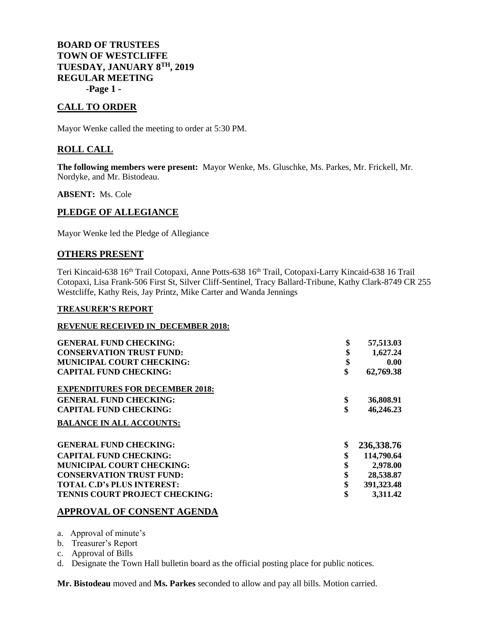**BOARD OF TRUSTEES TOWN OF WESTCLIFFE TUESDAY, JANUARY 8TH, 2019 REGULAR MEETING -Page 1 -**

# **CALL TO ORDER**

Mayor Wenke called the meeting to order at 5:30 PM.

## **ROLL CALL**

**The following members were present:** Mayor Wenke, Ms. Gluschke, Ms. Parkes, Mr. Frickell, Mr. Nordyke, and Mr. Bistodeau.

**ABSENT:** Ms. Cole

## **PLEDGE OF ALLEGIANCE**

Mayor Wenke led the Pledge of Allegiance

### **OTHERS PRESENT**

Teri Kincaid-638 16<sup>th</sup> Trail Cotopaxi, Anne Potts-638 16<sup>th</sup> Trail, Cotopaxi-Larry Kincaid-638 16 Trail Cotopaxi, Lisa Frank-506 First St, Silver Cliff-Sentinel, Tracy Ballard-Tribune, Kathy Clark-8749 CR 255 Westcliffe, Kathy Reis, Jay Printz, Mike Carter and Wanda Jennings

#### **TREASURER'S REPORT**

#### **REVENUE RECEIVED IN\_DECEMBER 2018:**

| <b>GENERAL FUND CHECKING:</b>          | \$<br>57,513.03    |
|----------------------------------------|--------------------|
| <b>CONSERVATION TRUST FUND:</b>        | \$<br>1,627.24     |
| <b>MUNICIPAL COURT CHECKING:</b>       | \$<br>0.00         |
| <b>CAPITAL FUND CHECKING:</b>          | \$<br>62,769.38    |
| <b>EXPENDITURES FOR DECEMBER 2018:</b> |                    |
| <b>GENERAL FUND CHECKING:</b>          | \$<br>36,808.91    |
| <b>CAPITAL FUND CHECKING:</b>          | \$<br>46,246.23    |
| <b>BALANCE IN ALL ACCOUNTS:</b>        |                    |
| <b>GENERAL FUND CHECKING:</b>          | \$<br>236,338.76   |
| <b>CAPITAL FUND CHECKING:</b>          | \$<br>114,790.64   |
| <b>MUNICIPAL COURT CHECKING:</b>       | \$<br>2,978.00     |
| <b>CONSERVATION TRUST FUND:</b>        | \$<br>28,538.87    |
| <b>TOTAL C.D's PLUS INTEREST:</b>      | \$<br>391, 323. 48 |
| TENNIS COURT PROJECT CHECKING:         | \$<br>3,311.42     |

### **APPROVAL OF CONSENT AGENDA**

a. Approval of minute's

b. Treasurer's Report

c. Approval of Bills

d. Designate the Town Hall bulletin board as the official posting place for public notices.

**Mr. Bistodeau** moved and **Ms. Parkes** seconded to allow and pay all bills. Motion carried.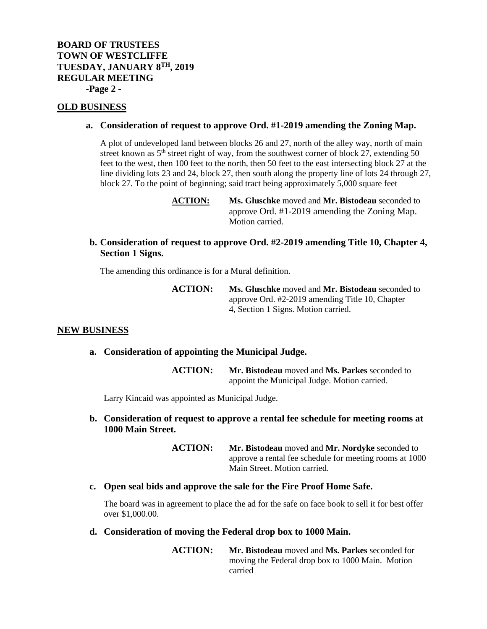# **BOARD OF TRUSTEES TOWN OF WESTCLIFFE TUESDAY, JANUARY 8TH, 2019 REGULAR MEETING -Page 2 -**

### **OLD BUSINESS**

#### **a. Consideration of request to approve Ord. #1-2019 amending the Zoning Map.**

A plot of undeveloped land between blocks 26 and 27, north of the alley way, north of main street known as 5<sup>th</sup> street right of way, from the southwest corner of block 27, extending 50 feet to the west, then 100 feet to the north, then 50 feet to the east intersecting block 27 at the line dividing lots 23 and 24, block 27, then south along the property line of lots 24 through 27, block 27. To the point of beginning; said tract being approximately 5,000 square feet

> **ACTION: Ms. Gluschke** moved and **Mr. Bistodeau** seconded to approve Ord. #1-2019 amending the Zoning Map. Motion carried.

## **b. Consideration of request to approve Ord. #2-2019 amending Title 10, Chapter 4, Section 1 Signs.**

The amending this ordinance is for a Mural definition.

**ACTION: Ms. Gluschke** moved and **Mr. Bistodeau** seconded to approve Ord. #2-2019 amending Title 10, Chapter 4, Section 1 Signs. Motion carried.

#### **NEW BUSINESS**

### **a. Consideration of appointing the Municipal Judge.**

**ACTION: Mr. Bistodeau** moved and **Ms. Parkes** seconded to appoint the Municipal Judge. Motion carried.

Larry Kincaid was appointed as Municipal Judge.

### **b. Consideration of request to approve a rental fee schedule for meeting rooms at 1000 Main Street.**

**ACTION: Mr. Bistodeau** moved and **Mr. Nordyke** seconded to approve a rental fee schedule for meeting rooms at 1000 Main Street. Motion carried.

### **c. Open seal bids and approve the sale for the Fire Proof Home Safe.**

The board was in agreement to place the ad for the safe on face book to sell it for best offer over \$1,000.00.

### **d. Consideration of moving the Federal drop box to 1000 Main.**

**ACTION: Mr. Bistodeau** moved and **Ms. Parkes** seconded for moving the Federal drop box to 1000 Main. Motion carried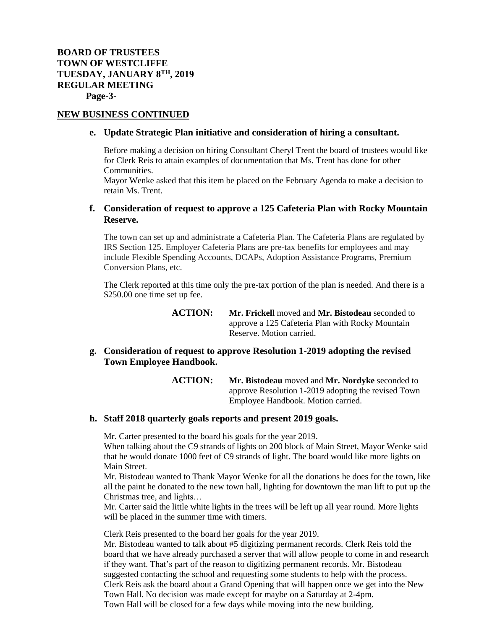### **NEW BUSINESS CONTINUED**

### **e. Update Strategic Plan initiative and consideration of hiring a consultant.**

Before making a decision on hiring Consultant Cheryl Trent the board of trustees would like for Clerk Reis to attain examples of documentation that Ms. Trent has done for other Communities.

Mayor Wenke asked that this item be placed on the February Agenda to make a decision to retain Ms. Trent.

## **f. Consideration of request to approve a 125 Cafeteria Plan with Rocky Mountain Reserve.**

The town can set up and administrate a Cafeteria Plan. The Cafeteria Plans are regulated by IRS Section 125. Employer Cafeteria Plans are pre-tax benefits for employees and may include Flexible Spending Accounts, DCAPs, Adoption Assistance Programs, Premium Conversion Plans, etc.

The Clerk reported at this time only the pre-tax portion of the plan is needed. And there is a \$250.00 one time set up fee.

> **ACTION: Mr. Frickell** moved and **Mr. Bistodeau** seconded to approve a 125 Cafeteria Plan with Rocky Mountain Reserve. Motion carried.

## **g. Consideration of request to approve Resolution 1-2019 adopting the revised Town Employee Handbook.**

**ACTION: Mr. Bistodeau** moved and **Mr. Nordyke** seconded to approve Resolution 1-2019 adopting the revised Town Employee Handbook. Motion carried.

### **h. Staff 2018 quarterly goals reports and present 2019 goals.**

Mr. Carter presented to the board his goals for the year 2019.

When talking about the C9 strands of lights on 200 block of Main Street, Mayor Wenke said that he would donate 1000 feet of C9 strands of light. The board would like more lights on Main Street.

Mr. Bistodeau wanted to Thank Mayor Wenke for all the donations he does for the town, like all the paint he donated to the new town hall, lighting for downtown the man lift to put up the Christmas tree, and lights…

Mr. Carter said the little white lights in the trees will be left up all year round. More lights will be placed in the summer time with timers.

Clerk Reis presented to the board her goals for the year 2019.

Mr. Bistodeau wanted to talk about #5 digitizing permanent records. Clerk Reis told the board that we have already purchased a server that will allow people to come in and research if they want. That's part of the reason to digitizing permanent records. Mr. Bistodeau suggested contacting the school and requesting some students to help with the process. Clerk Reis ask the board about a Grand Opening that will happen once we get into the New Town Hall. No decision was made except for maybe on a Saturday at 2-4pm. Town Hall will be closed for a few days while moving into the new building.